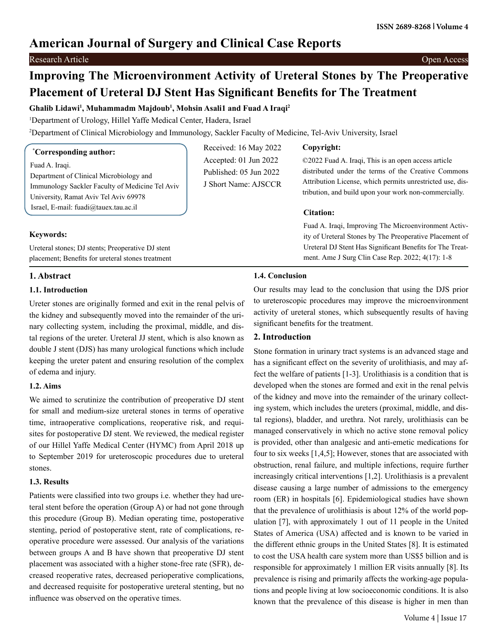## **American Journal of Surgery and Clinical Case Reports**

#### Research Article Open Access

# **Improving The Microenvironment Activity of Ureteral Stones by The Preoperative Placement of Ureteral DJ Stent Has Significant Benefits for The Treatment**

## **Ghalib Lidawi1 , Muhammadm Majdoub1 , Mohsin Asali1 and Fuad A Iraqi2**

1 Department of Urology, Hillel Yaffe Medical Center, Hadera, Israel

2 Department of Clinical Microbiology and Immunology, Sackler Faculty of Medicine, Tel-Aviv University, Israel

## **\* Corresponding author:**

Fuad A. Iraqi.

Department of Clinical Microbiology and Immunology Sackler Faculty of Medicine Tel Aviv University, Ramat Aviv Tel Aviv 69978 Israel, E-mail: fuadi@tauex.tau.ac.il

Ureteral stones; DJ stents; Preoperative DJ stent placement; Benefits for ureteral stones treatment

Received: 16 May 2022 Accepted: 01 Jun 2022 Published: 05 Jun 2022 J Short Name: AJSCCR

### **Copyright:**

©2022 Fuad A. Iraqi, This is an open access article distributed under the terms of the Creative Commons Attribution License, which permits unrestricted use, distribution, and build upon your work non-commercially.

## **Citation:**

Fuad A. Iraqi, Improving The Microenvironment Activity of Ureteral Stones by The Preoperative Placement of Ureteral DJ Stent Has Significant Benefits for The Treatment. Ame J Surg Clin Case Rep. 2022; 4(17): 1-8

## **1. Abstract**

**Keywords:**

## **1.1. Introduction**

Ureter stones are originally formed and exit in the renal pelvis of the kidney and subsequently moved into the remainder of the urinary collecting system, including the proximal, middle, and distal regions of the ureter. Ureteral JJ stent, which is also known as double J stent (DJS) has many urological functions which include keeping the ureter patent and ensuring resolution of the complex of edema and injury.

### **1.2. Aims**

We aimed to scrutinize the contribution of preoperative DJ stent for small and medium-size ureteral stones in terms of operative time, intraoperative complications, reoperative risk, and requisites for postoperative DJ stent. We reviewed, the medical register of our Hillel Yaffe Medical Center (HYMC) from April 2018 up to September 2019 for ureteroscopic procedures due to ureteral stones.

### **1.3. Results**

Patients were classified into two groups i.e. whether they had ureteral stent before the operation (Group A) or had not gone through this procedure (Group B). Median operating time, postoperative stenting, period of postoperative stent, rate of complications, reoperative procedure were assessed. Our analysis of the variations between groups A and B have shown that preoperative DJ stent placement was associated with a higher stone-free rate (SFR), decreased reoperative rates, decreased perioperative complications, and decreased requisite for postoperative ureteral stenting, but no influence was observed on the operative times.

## **1.4. Conclusion**

Our results may lead to the conclusion that using the DJS prior to ureteroscopic procedures may improve the microenvironment activity of ureteral stones, which subsequently results of having significant benefits for the treatment.

## **2. Introduction**

Stone formation in urinary tract systems is an advanced stage and has a significant effect on the severity of urolithiasis, and may affect the welfare of patients [1-3]. Urolithiasis is a condition that is developed when the stones are formed and exit in the renal pelvis of the kidney and move into the remainder of the urinary collecting system, which includes the ureters (proximal, middle, and distal regions), bladder, and urethra. Not rarely, urolithiasis can be managed conservatively in which no active stone removal policy is provided, other than analgesic and anti-emetic medications for four to six weeks [1,4,5]; However, stones that are associated with obstruction, renal failure, and multiple infections, require further increasingly critical interventions [1,2]. Urolithiasis is a prevalent disease causing a large number of admissions to the emergency room (ER) in hospitals [6]. Epidemiological studies have shown that the prevalence of urolithiasis is about 12% of the world population [7], with approximately 1 out of 11 people in the United States of America (USA) affected and is known to be varied in the different ethnic groups in the United States [8]. It is estimated to cost the USA health care system more than US\$5 billion and is responsible for approximately 1 million ER visits annually [8]. Its prevalence is rising and primarily affects the working-age populations and people living at low socioeconomic conditions. It is also known that the prevalence of this disease is higher in men than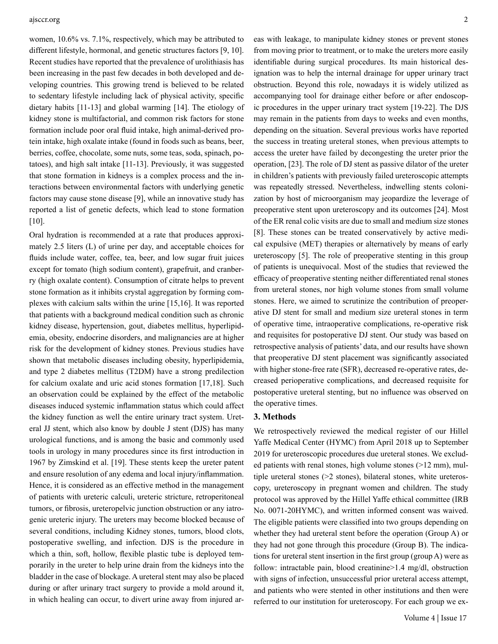women, 10.6% vs. 7.1%, respectively, which may be attributed to different lifestyle, hormonal, and genetic structures factors [9, 10]. Recent studies have reported that the prevalence of urolithiasis has been increasing in the past few decades in both developed and developing countries. This growing trend is believed to be related to sedentary lifestyle including lack of physical activity, specific dietary habits [11-13] and global warming [14]. The etiology of kidney stone is multifactorial, and common risk factors for stone formation include poor oral fluid intake, high animal-derived protein intake, high oxalate intake (found in foods such as beans, beer, berries, coffee, chocolate, some nuts, some teas, soda, spinach, potatoes), and high salt intake [11-13]. Previously, it was suggested that stone formation in kidneys is a complex process and the interactions between environmental factors with underlying genetic factors may cause stone disease [9], while an innovative study has reported a list of genetic defects, which lead to stone formation [10].

Oral hydration is recommended at a rate that produces approximately 2.5 liters (L) of urine per day, and acceptable choices for fluids include water, coffee, tea, beer, and low sugar fruit juices except for tomato (high sodium content), grapefruit, and cranberry (high oxalate content). Consumption of citrate helps to prevent stone formation as it inhibits crystal aggregation by forming complexes with calcium salts within the urine [15,16]. It was reported that patients with a background medical condition such as chronic kidney disease, hypertension, gout, diabetes mellitus, hyperlipidemia, obesity, endocrine disorders, and malignancies are at higher risk for the development of kidney stones. Previous studies have shown that metabolic diseases including obesity, hyperlipidemia, and type 2 diabetes mellitus (T2DM) have a strong predilection for calcium oxalate and uric acid stones formation [17,18]. Such an observation could be explained by the effect of the metabolic diseases induced systemic inflammation status which could affect the kidney function as well the entire urinary tract system. Ureteral JJ stent, which also know by double J stent (DJS) has many urological functions, and is among the basic and commonly used tools in urology in many procedures since its first introduction in 1967 by Zimskind et al. [19]. These stents keep the ureter patent and ensure resolution of any edema and local injury/inflammation. Hence, it is considered as an effective method in the management of patients with ureteric calculi, ureteric stricture, retroperitoneal tumors, or fibrosis, ureteropelvic junction obstruction or any iatrogenic ureteric injury. The ureters may become blocked because of several conditions, including Kidney stones, tumors, blood clots, postoperative swelling, and infection. DJS is the procedure in which a thin, soft, hollow, flexible plastic tube is deployed temporarily in the ureter to help urine drain from the kidneys into the bladder in the case of blockage. A ureteral stent may also be placed during or after urinary tract surgery to provide a mold around it, in which healing can occur, to divert urine away from injured areas with leakage, to manipulate kidney stones or prevent stones from moving prior to treatment, or to make the ureters more easily identifiable during surgical procedures. Its main historical designation was to help the internal drainage for upper urinary tract obstruction. Beyond this role, nowadays it is widely utilized as accompanying tool for drainage either before or after endoscopic procedures in the upper urinary tract system [19-22]. The DJS may remain in the patients from days to weeks and even months, depending on the situation. Several previous works have reported the success in treating ureteral stones, when previous attempts to access the ureter have failed by decongesting the ureter prior the operation, [23]. The role of DJ stent as passive dilator of the ureter in children's patients with previously failed ureteroscopic attempts was repeatedly stressed. Nevertheless, indwelling stents colonization by host of microorganism may jeopardize the leverage of preoperative stent upon ureteroscopy and its outcomes [24]. Most of the ER renal colic visits are due to small and medium size stones [8]. These stones can be treated conservatively by active medical expulsive (MET) therapies or alternatively by means of early ureteroscopy [5]. The role of preoperative stenting in this group of patients is unequivocal. Most of the studies that reviewed the efficacy of preoperative stenting neither differentiated renal stones from ureteral stones, nor high volume stones from small volume stones. Here, we aimed to scrutinize the contribution of preoperative DJ stent for small and medium size ureteral stones in term of operative time, intraoperative complications, re-operative risk and requisites for postoperative DJ stent. Our study was based on retrospective analysis of patients' data, and our results have shown that preoperative DJ stent placement was significantly associated with higher stone-free rate (SFR), decreased re-operative rates, decreased perioperative complications, and decreased requisite for postoperative ureteral stenting, but no influence was observed on the operative times.

#### **3. Methods**

We retrospectively reviewed the medical register of our Hillel Yaffe Medical Center (HYMC) from April 2018 up to September 2019 for ureteroscopic procedures due ureteral stones. We excluded patients with renal stones, high volume stones (>12 mm), multiple ureteral stones (>2 stones), bilateral stones, white ureteroscopy, ureteroscopy in pregnant women and children. The study protocol was approved by the Hillel Yaffe ethical committee (IRB No. 0071-20HYMC), and written informed consent was waived. The eligible patients were classified into two groups depending on whether they had ureteral stent before the operation (Group A) or they had not gone through this procedure (Group B). The indications for ureteral stent insertion in the first group (group A) were as follow: intractable pain, blood creatinine>1.4 mg/dl, obstruction with signs of infection, unsuccessful prior ureteral access attempt, and patients who were stented in other institutions and then were referred to our institution for ureteroscopy. For each group we ex-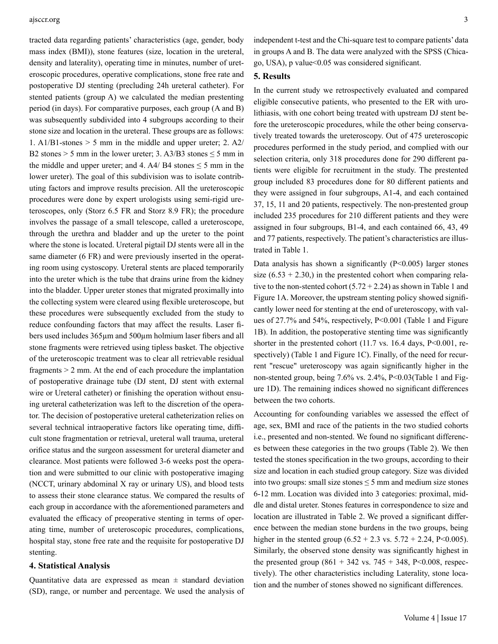tracted data regarding patients' characteristics (age, gender, body mass index (BMI)), stone features (size, location in the ureteral, density and laterality), operating time in minutes, number of ureteroscopic procedures, operative complications, stone free rate and postoperative DJ stenting (precluding 24h ureteral catheter). For stented patients (group A) we calculated the median prestenting period (in days). For comparative purposes, each group (A and B) was subsequently subdivided into 4 subgroups according to their stone size and location in the ureteral. These groups are as follows: 1. A1/B1-stones > 5 mm in the middle and upper ureter; 2. A2/ B2 stones > 5 mm in the lower ureter; 3. A3/B3 stones  $\leq$  5 mm in the middle and upper ureter; and 4. A4/ B4 stones  $\leq$  5 mm in the lower ureter). The goal of this subdivision was to isolate contributing factors and improve results precision. All the ureteroscopic procedures were done by expert urologists using semi-rigid ureteroscopes, only (Storz 6.5 FR and Storz 8.9 FR); the procedure involves the passage of a small telescope, called a ureteroscope, through the urethra and bladder and up the ureter to the point where the stone is located. Ureteral pigtail DJ stents were all in the same diameter (6 FR) and were previously inserted in the operating room using cystoscopy. Ureteral stents are placed temporarily into the ureter which is the tube that drains urine from the kidney into the bladder. Upper ureter stones that migrated proximally into the collecting system were cleared using flexible ureteroscope, but these procedures were subsequently excluded from the study to reduce confounding factors that may affect the results. Laser fibers used includes 365µm and 500µm holmium laser fibers and all stone fragments were retrieved using tipless basket. The objective of the ureteroscopic treatment was to clear all retrievable residual fragments > 2 mm. At the end of each procedure the implantation of postoperative drainage tube (DJ stent, DJ stent with external wire or Ureteral catheter) or finishing the operation without ensuing ureteral catheterization was left to the discretion of the operator. The decision of postoperative ureteral catheterization relies on several technical intraoperative factors like operating time, difficult stone fragmentation or retrieval, ureteral wall trauma, ureteral orifice status and the surgeon assessment for ureteral diameter and clearance. Most patients were followed 3-6 weeks post the operation and were submitted to our clinic with postoperative imaging (NCCT, urinary abdominal X ray or urinary US), and blood tests to assess their stone clearance status. We compared the results of each group in accordance with the aforementioned parameters and evaluated the efficacy of preoperative stenting in terms of operating time, number of ureteroscopic procedures, complications, hospital stay, stone free rate and the requisite for postoperative DJ stenting.

### **4. Statistical Analysis**

Quantitative data are expressed as mean  $\pm$  standard deviation (SD), range, or number and percentage. We used the analysis of independent t-test and the Chi-square test to compare patients' data in groups A and B. The data were analyzed with the SPSS (Chicago, USA), p value<0.05 was considered significant.

### **5. Results**

In the current study we retrospectively evaluated and compared eligible consecutive patients, who presented to the ER with urolithiasis, with one cohort being treated with upstream DJ stent before the ureteroscopic procedures, while the other being conservatively treated towards the ureteroscopy. Out of 475 ureteroscopic procedures performed in the study period, and complied with our selection criteria, only 318 procedures done for 290 different patients were eligible for recruitment in the study. The prestented group included 83 procedures done for 80 different patients and they were assigned in four subgroups, A1-4, and each contained 37, 15, 11 and 20 patients, respectively. The non-prestented group included 235 procedures for 210 different patients and they were assigned in four subgroups, B1-4, and each contained 66, 43, 49 and 77 patients, respectively. The patient's characteristics are illustrated in Table 1.

Data analysis has shown a significantly  $(P<0.005)$  larger stones size  $(6.53 + 2.30)$ , in the prestented cohort when comparing relative to the non-stented cohort  $(5.72 + 2.24)$  as shown in Table 1 and Figure 1A. Moreover, the upstream stenting policy showed significantly lower need for stenting at the end of ureteroscopy, with values of 27.7% and 54%, respectively, P<0.001 (Table 1 and Figure 1B). In addition, the postoperative stenting time was significantly shorter in the prestented cohort  $(11.7 \text{ vs. } 16.4 \text{ days}, P<0.001, \text{ re-}$ spectively) (Table 1 and Figure 1C). Finally, of the need for recurrent "rescue" ureteroscopy was again significantly higher in the non-stented group, being 7.6% vs. 2.4%, P<0.03(Table 1 and Figure 1D). The remaining indices showed no significant differences between the two cohorts.

Accounting for confounding variables we assessed the effect of age, sex, BMI and race of the patients in the two studied cohorts i.e., presented and non-stented. We found no significant differences between these categories in the two groups (Table 2). We then tested the stones specification in the two groups, according to their size and location in each studied group category. Size was divided into two groups: small size stones  $\leq$  5 mm and medium size stones 6-12 mm. Location was divided into 3 categories: proximal, middle and distal ureter. Stones features in correspondence to size and location are illustrated in Table 2. We proved a significant difference between the median stone burdens in the two groups, being higher in the stented group  $(6.52 + 2.3 \text{ vs. } 5.72 + 2.24, \text{ P} < 0.005)$ . Similarly, the observed stone density was significantly highest in the presented group  $(861 + 342 \text{ vs. } 745 + 348, P < 0.008, \text{ respec-}$ tively). The other characteristics including Laterality, stone location and the number of stones showed no significant differences.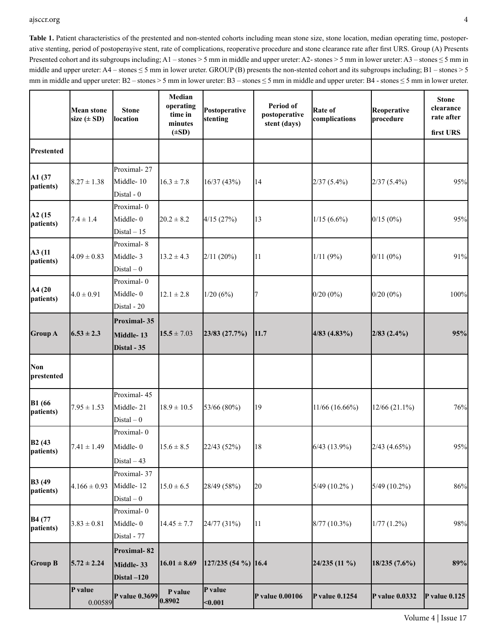Table 1. Patient characteristics of the prestented and non-stented cohorts including mean stone size, stone location, median operating time, postoperative stenting, period of postoperayive stent, rate of complications, reoperative procedure and stone clearance rate after first URS. Group (A) Presents Presented cohort and its subgroups including; A1 – stones > 5 mm in middle and upper ureter: A2- stones > 5 mm in lower ureter: A3 – stones  $\leq$  5 mm in middle and upper ureter:  $A4$  – stones  $\leq$  5 mm in lower ureter. GROUP (B) presents the non-stented cohort and its subgroups including; B1 – stones > 5 mm in middle and upper ureter: B2 – stones > 5 mm in lower ureter: B3 – stones ≤ 5 mm in middle and upper ureter: B4 - stones ≤ 5 mm in lower ureter.

|                            | <b>Mean stone</b><br>size $(\pm SD)$ | <b>Stone</b><br>location  | Median<br>operating<br>time in<br>minutes<br>$(\pm SD)$ | Postoperative<br>stenting | Period of<br>postoperative<br>stent (days) | Rate of<br>complications | Reoperative<br>procedure | <b>Stone</b><br>clearance<br>rate after<br>first URS |
|----------------------------|--------------------------------------|---------------------------|---------------------------------------------------------|---------------------------|--------------------------------------------|--------------------------|--------------------------|------------------------------------------------------|
| <b>Prestented</b>          |                                      |                           |                                                         |                           |                                            |                          |                          |                                                      |
|                            |                                      | Proximal-27               |                                                         |                           |                                            |                          |                          |                                                      |
| A1 (37<br>patients)        | $8.27 \pm 1.38$                      | Middle-10<br>Distal - 0   | $16.3 \pm 7.8$                                          | 16/37(43%)                | 14                                         | $2/37(5.4\%)$            | $2/37(5.4\%)$            | 95%                                                  |
|                            |                                      | Proximal-0                |                                                         |                           |                                            |                          |                          |                                                      |
| A2(15<br>patients)         | $7.4 \pm 1.4$                        | Middle-0                  | $20.2 \pm 8.2$                                          | 4/15(27%)                 | 13                                         | $1/15(6.6\%)$            | 0/15(0%)                 | 95%                                                  |
|                            |                                      | Distal $-15$              |                                                         |                           |                                            |                          |                          |                                                      |
|                            |                                      | Proximal-8                |                                                         |                           |                                            |                          |                          |                                                      |
| A3 (11<br>patients)        | $4.09 \pm 0.83$                      | Middle-3<br>$Distal - 0$  | $13.2 \pm 4.3$                                          | 2/11(20%)                 | 11                                         | 1/11(9%)                 | 0/11(0%)                 | 91%                                                  |
|                            |                                      | Proximal-0                |                                                         |                           |                                            |                          |                          |                                                      |
| A4 (20                     | $4.0 \pm 0.91$                       | Middle-0                  | $12.1 \pm 2.8$                                          | 1/20(6%)                  | 7                                          | $0/20(0\%)$              | $0/20(0\%)$              | 100%                                                 |
| patients)                  |                                      | Distal - 20               |                                                         |                           |                                            |                          |                          |                                                      |
|                            |                                      | <b>Proximal-35</b>        |                                                         |                           |                                            |                          |                          |                                                      |
| <b>Group A</b>             | $6.53 \pm 2.3$                       | Middle-13                 | $15.5 \pm 7.03$                                         | 23/83(27.7%)              | 11.7                                       | $4/83(4.83\%)$           | $2/83$ $(2.4\%)$         | 95%                                                  |
|                            |                                      | Distal - 35               |                                                         |                           |                                            |                          |                          |                                                      |
| <b>Non</b><br>prestented   |                                      |                           |                                                         |                           |                                            |                          |                          |                                                      |
|                            |                                      | Proximal-45               |                                                         |                           |                                            |                          |                          |                                                      |
| <b>B1</b> (66<br>patients) | $7.95 \pm 1.53$                      | Middle-21                 | $18.9 \pm 10.5$                                         | 53/66 (80%)               | 19                                         | 11/66(16.66%)            | $12/66(21.1\%)$          | 76%                                                  |
|                            |                                      | $Distal - 0$              |                                                         |                           |                                            |                          |                          |                                                      |
|                            |                                      | Proximal-0                |                                                         |                           |                                            |                          |                          |                                                      |
| <b>B2</b> (43<br>patients) | $7.41 \pm 1.49$                      | Middle-0                  | $15.6 \pm 8.5$                                          | 22/43 (52%)               | 18                                         | 6/43(13.9%)              | $2/43$ (4.65%)           | 95%                                                  |
|                            |                                      | $Distal - 43$             |                                                         |                           |                                            |                          |                          |                                                      |
|                            |                                      | Proximal-37               |                                                         |                           |                                            |                          |                          |                                                      |
| <b>B3</b> (49<br>patients) | $4.166 \pm 0.93$                     | Middle-12                 | $15.0 \pm 6.5$                                          | 28/49 (58%)               | 20                                         | $5/49(10.2\%)$           | $5/49(10.2\%)$           | $86\%$                                               |
|                            |                                      | $Distal - 0$              |                                                         |                           |                                            |                          |                          |                                                      |
|                            |                                      | Proximal-0                |                                                         |                           |                                            |                          |                          |                                                      |
| B4 (77<br>patients)        | $3.83 \pm 0.81$                      | Middle-0                  | $14.45 \pm 7.7$                                         | 24/77 (31%)               | 11                                         | $8/77(10.3\%)$           | 1/77(1.2%)               | 98%                                                  |
|                            |                                      | Distal - 77               |                                                         |                           |                                            |                          |                          |                                                      |
|                            |                                      | Proximal-82               |                                                         |                           |                                            |                          |                          |                                                      |
| <b>Group B</b>             | $5.72 \pm 2.24$                      | Middle-33                 | $16.01 \pm 8.69$                                        | $ 127/235(54\%) 16.4$     |                                            | $24/235(11\%)$           | 18/235(7.6%)             | 89%                                                  |
|                            |                                      | Distal $-120$             |                                                         |                           |                                            |                          |                          |                                                      |
|                            | P value<br>0.00589                   | P value $0.3699$ $0.8902$ | P value                                                 | P value<br>$0.001$        | P value 0.00106                            | <b>P</b> value 0.1254    | <b>P</b> value 0.0332    | P value $0.125$                                      |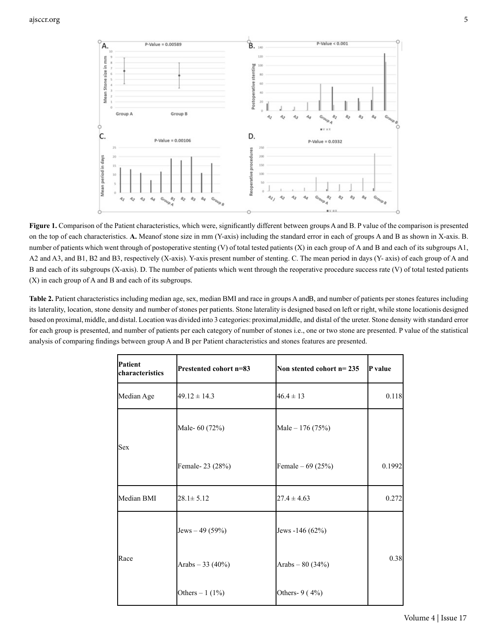

Figure 1. Comparison of the Patient characteristics, which were, significantly different between groups A and B. P value of the comparison is presented on the top of each characteristics. A. Meanof stone size in mm (Y-axis) including the standard error in each of groups A and B as shown in X-axis. B. number of patients which went through of postoperative stenting (V) of total tested patients (X) in each group of A and B and each of its subgroups A1, A2 and A3, and B1, B2 and B3, respectively (X-axis). Y-axis present number of stenting. C. The mean period in days (Y- axis) of each group of A and B and each of its subgroups (X-axis). D. The number of patients which went through the reoperative procedure success rate (V) of total tested patients (X) in each group of A and B and each of its subgroups.

Table 2. Patient characteristics including median age, sex, median BMI and race in groups A andB, and number of patients per stones features including its laterality, location, stone density and number of stones per patients. Stone laterality is designed based on left or right, while stone locationis designed based on proximal, middle, and distal. Location was divided into 3 categories: proximal, middle, and distal of the ureter. Stone density with standard error for each group is presented, and number of patients per each category of number of stones i.e., one or two stone are presented. P value of the statistical analysis of comparing findings between group A and B per Patient characteristics and stones features are presented.

| Patient<br>characteristics | Prestented cohort n=83 | Non stented cohort $n=235$ | P value |
|----------------------------|------------------------|----------------------------|---------|
| Median Age                 | $49.12 \pm 14.3$       | $46.4 \pm 13$              | 0.118   |
| <b>Sex</b>                 | Male- 60 (72%)         | Male - 176 (75%)           |         |
|                            | Female-23 (28%)        | Female $-69(25%)$          | 0.1992  |
| Median BMI                 | $28.1 \pm 5.12$        | $27.4 \pm 4.63$            | 0.272   |
|                            | Jews $-49(59%)$        | Jews -146 (62%)            |         |
| Race                       | Arabs $-33(40\%)$      | Arabs $-80(34%)$           | 0.38    |
|                            | Others $-1$ (1%)       | Others- 9 (4%)             |         |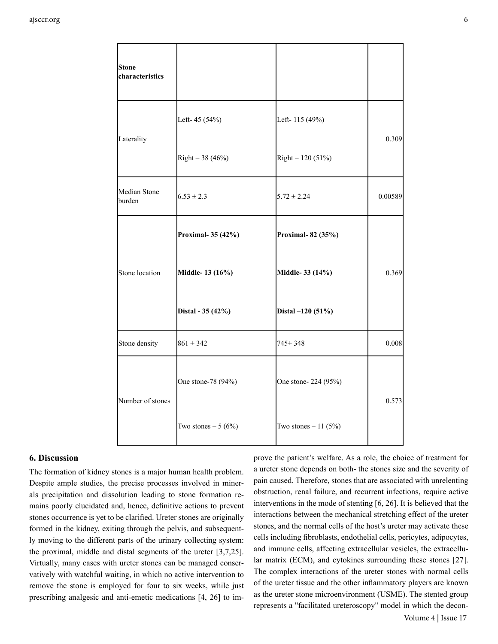| <b>Stone</b><br>characteristics |                     |                      |         |
|---------------------------------|---------------------|----------------------|---------|
| Laterality                      | Left-45 (54%)       | Left-115 (49%)       | 0.309   |
|                                 | Right $-38(46%)$    | Right $-120(51%)$    |         |
| Median Stone<br>burden          | $6.53 \pm 2.3$      | $5.72 \pm 2.24$      | 0.00589 |
|                                 | Proximal-35 (42%)   | Proximal-82 (35%)    |         |
| Stone location                  | Middle-13 (16%)     | Middle- 33 (14%)     | 0.369   |
|                                 | Distal - 35 (42%)   | Distal -120 (51%)    |         |
| Stone density                   | $861 \pm 342$       | $745 \pm 348$        | 0.008   |
| Number of stones                | One stone-78 (94%)  | One stone-224 (95%)  | 0.573   |
|                                 | Two stones $-5(6%)$ | Two stones $-11(5%)$ |         |

#### **6. Discussion**

The formation of kidney stones is a major human health problem. Despite ample studies, the precise processes involved in minerals precipitation and dissolution leading to stone formation remains poorly elucidated and, hence, definitive actions to prevent stones occurrence is yet to be clarified. Ureter stones are originally formed in the kidney, exiting through the pelvis, and subsequently moving to the different parts of the urinary collecting system: the proximal, middle and distal segments of the ureter [3,7,25]. Virtually, many cases with ureter stones can be managed conservatively with watchful waiting, in which no active intervention to remove the stone is employed for four to six weeks, while just prescribing analgesic and anti-emetic medications [4, 26] to im-

 Volume 4 | Issue 17 prove the patient's welfare. As a role, the choice of treatment for a ureter stone depends on both- the stones size and the severity of pain caused. Therefore, stones that are associated with unrelenting obstruction, renal failure, and recurrent infections, require active interventions in the mode of stenting [6, 26]. It is believed that the interactions between the mechanical stretching effect of the ureter stones, and the normal cells of the host's ureter may activate these cells including fibroblasts, endothelial cells, pericytes, adipocytes, and immune cells, affecting extracellular vesicles, the extracellular matrix (ECM), and cytokines surrounding these stones [27]. The complex interactions of the ureter stones with normal cells of the ureter tissue and the other inflammatory players are known as the ureter stone microenvironment (USME). The stented group represents a "facilitated ureteroscopy" model in which the decon-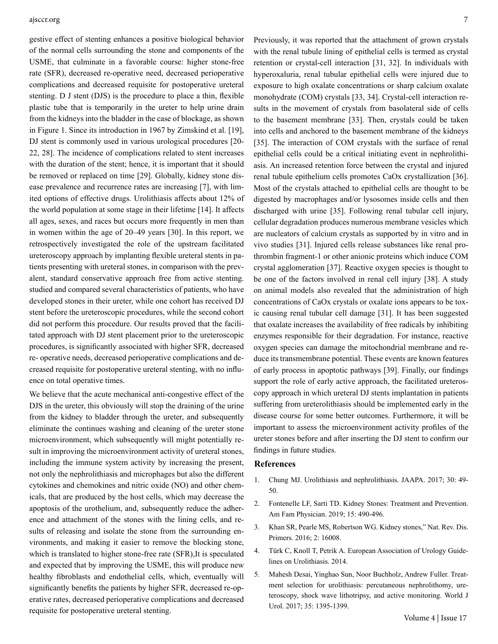gestive effect of stenting enhances a positive biological behavior of the normal cells surrounding the stone and components of the USME, that culminate in a favorable course: higher stone-free rate (SFR), decreased re-operative need, decreased perioperative complications and decreased requisite for postoperative ureteral stenting. D J stent (DJS) is the procedure to place a thin, flexible plastic tube that is temporarily in the ureter to help urine drain from the kidneys into the bladder in the case of blockage, as shown in Figure 1. Since its introduction in 1967 by Zimskind et al. [19], DJ stent is commonly used in various urological procedures [20- 22, 28]. The incidence of complications related to stent increases with the duration of the stent; hence, it is important that it should be removed or replaced on time [29]. Globally, kidney stone disease prevalence and recurrence rates are increasing [7], with limited options of effective drugs. Urolithiasis affects about 12% of the world population at some stage in their lifetime [14]. It affects all ages, sexes, and races but occurs more frequently in men than in women within the age of 20–49 years [30]. In this report, we retrospectively investigated the role of the upstream facilitated ureteroscopy approach by implanting flexible ureteral stents in patients presenting with ureteral stones, in comparison with the prevalent, standard conservative approach free from active stenting. studied and compared several characteristics of patients, who have developed stones in their ureter, while one cohort has received DJ stent before the ureteroscopic procedures, while the second cohort did not perform this procedure. Our results proved that the facilitated approach with DJ stent placement prior to the ureteroscopic procedures, is significantly associated with higher SFR, decreased re- operative needs, decreased perioperative complications and decreased requisite for postoperative ureteral stenting, with no influence on total operative times.

We believe that the acute mechanical anti-congestive effect of the DJS in the ureter, this obviously will stop the draining of the urine from the kidney to bladder through the ureter, and subsequently eliminate the continues washing and cleaning of the ureter stone microenvironment, which subsequently will might potentially result in improving the microenvironment activity of ureteral stones, including the immune system activity by increasing the present, not only the nephrolithiasis and microphages but also the different cytokines and chemokines and nitric oxide (NO) and other chemicals, that are produced by the host cells, which may decrease the apoptosis of the urothelium, and, subsequently reduce the adherence and attachment of the stones with the lining cells, and results of releasing and isolate the stone from the surrounding environments, and making it easier to remove the blocking stone, which is translated to higher stone-free rate (SFR),It is speculated and expected that by improving the USME, this will produce new healthy fibroblasts and endothelial cells, which, eventually will significantly benefits the patients by higher SFR, decreased re-operative rates, decreased perioperative complications and decreased requisite for postoperative ureteral stenting.

Previously, it was reported that the attachment of grown crystals with the renal tubule lining of epithelial cells is termed as crystal retention or crystal-cell interaction [31, 32]. In individuals with hyperoxaluria, renal tubular epithelial cells were injured due to exposure to high oxalate concentrations or sharp calcium oxalate monohydrate (COM) crystals [33, 34]. Crystal-cell interaction results in the movement of crystals from basolateral side of cells to the basement membrane [33]. Then, crystals could be taken into cells and anchored to the basement membrane of the kidneys [35]. The interaction of COM crystals with the surface of renal epithelial cells could be a critical initiating event in nephrolithiasis. An increased retention force between the crystal and injured renal tubule epithelium cells promotes CaOx crystallization [36]. Most of the crystals attached to epithelial cells are thought to be digested by macrophages and/or lysosomes inside cells and then discharged with urine [35]. Following renal tubular cell injury, cellular degradation produces numerous membrane vesicles which are nucleators of calcium crystals as supported by in vitro and in vivo studies [31]. Injured cells release substances like renal prothrombin fragment-1 or other anionic proteins which induce COM crystal agglomeration [37]. Reactive oxygen species is thought to be one of the factors involved in renal cell injury [38]. A study on animal models also revealed that the administration of high concentrations of CaOx crystals or oxalate ions appears to be toxic causing renal tubular cell damage [31]. It has been suggested that oxalate increases the availability of free radicals by inhibiting enzymes responsible for their degradation. For instance, reactive oxygen species can damage the mitochondrial membrane and reduce its transmembrane potential. These events are known features of early process in apoptotic pathways [39]. Finally, our findings support the role of early active approach, the facilitated ureteroscopy approach in which ureteral DJ stents implantation in patients suffering from ureterolithiasis should be implemented early in the disease course for some better outcomes. Furthermore, it will be important to assess the microenvironment activity profiles of the ureter stones before and after inserting the DJ stent to confirm our findings in future studies.

#### **References**

- 1. [Chung MJ. Urolithiasis and nephrolithiasis. JAAPA. 2017; 30: 49-](https://pubmed.ncbi.nlm.nih.gov/28858017/) [50.](https://pubmed.ncbi.nlm.nih.gov/28858017/)
- 2. [Fontenelle LF, Sarti TD. Kidney Stones: Treatment and Prevention.](https://pubmed.ncbi.nlm.nih.gov/30990297/) [Am Fam Physician. 2019; 15: 490-496.](https://pubmed.ncbi.nlm.nih.gov/30990297/)
- 3. [Khan SR, Pearle MS, Robertson WG. Kidney stones," Nat. Rev. Dis.](https://pubmed.ncbi.nlm.nih.gov/27188687/) [Primers. 2016; 2: 16008.](https://pubmed.ncbi.nlm.nih.gov/27188687/)
- 4. [Türk C, Knoll T, Petrik A. European Association of Urology Guide](C:\Users\Canopus\AppData\Local\Temp\Rar$DIa3140.33394\Available from: http:\uroweb.org\guideline\urolithiasis\)[lines on Urolithiasis. 2014.](C:\Users\Canopus\AppData\Local\Temp\Rar$DIa3140.33394\Available from: http:\uroweb.org\guideline\urolithiasis\)
- 5. [Mahesh Desai, Yinghao Sun, Noor Buchholz, Andrew Fuller. Treat](https://pubmed.ncbi.nlm.nih.gov/28303335/)[ment selection for urolithiasis: percutaneous nephrolithomy, ure](https://pubmed.ncbi.nlm.nih.gov/28303335/)[teroscopy, shock wave lithotripsy, and active monitoring. World J](https://pubmed.ncbi.nlm.nih.gov/28303335/)  [Urol. 2017; 35: 1395-1399.](https://pubmed.ncbi.nlm.nih.gov/28303335/)